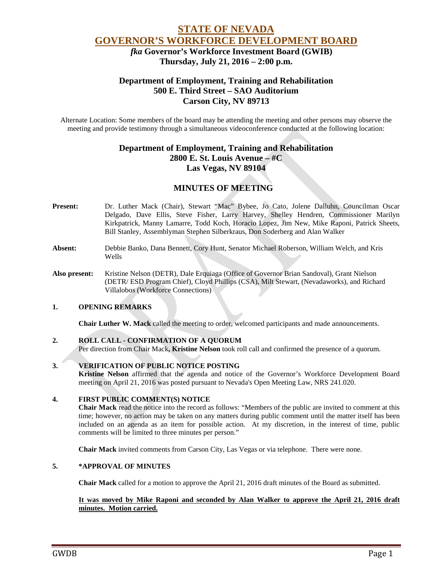# **STATE OF NEVADA GOVERNOR'S WORKFORCE DEVELOPMENT BOARD**

 *fka* **Governor's Workforce Investment Board (GWIB) Thursday, July 21, 2016 – 2:00 p.m.**

# **Department of Employment, Training and Rehabilitation 500 E. Third Street – SAO Auditorium Carson City, NV 89713**

Alternate Location: Some members of the board may be attending the meeting and other persons may observe the meeting and provide testimony through a simultaneous videoconference conducted at the following location:

# **Department of Employment, Training and Rehabilitation 2800 E. St. Louis Avenue – #C Las Vegas, NV 89104**

# **MINUTES OF MEETING**

- **Present:** Dr. Luther Mack (Chair), Stewart "Mac" Bybee, Jo Cato, Jolene Dalluhn, Councilman Oscar Delgado, Dave Ellis, Steve Fisher, Larry Harvey, Shelley Hendren, Commissioner Marilyn Kirkpatrick, Manny Lamarre, Todd Koch, Horacio Lopez, Jim New, Mike Raponi, Patrick Sheets, Bill Stanley, Assemblyman Stephen Silberkraus, Don Soderberg and Alan Walker
- **Absent:** Debbie Banko, Dana Bennett, Cory Hunt, Senator Michael Roberson, William Welch, and Kris Wells
- **Also present:** Kristine Nelson (DETR), Dale Erquiaga (Office of Governor Brian Sandoval), Grant Nielson (DETR/ ESD Program Chief), Cloyd Phillips (CSA), Milt Stewart, (Nevadaworks), and Richard Villalobos (Workforce Connections)

## **1. OPENING REMARKS**

**Chair Luther W. Mack** called the meeting to order, welcomed participants and made announcements.

#### **2. ROLL CALL - CONFIRMATION OF A QUORUM**

Per direction from Chair Mack**, Kristine Nelson** took roll call and confirmed the presence of a quorum.

#### **3. VERIFICATION OF PUBLIC NOTICE POSTING**

**Kristine Nelson** affirmed that the agenda and notice of the Governor's Workforce Development Board meeting on April 21, 2016 was posted pursuant to Nevada's Open Meeting Law, NRS 241.020.

#### **4. FIRST PUBLIC COMMENT(S) NOTICE**

**Chair Mack** read the notice into the record as follows: "Members of the public are invited to comment at this time; however, no action may be taken on any matters during public comment until the matter itself has been included on an agenda as an item for possible action. At my discretion, in the interest of time, public comments will be limited to three minutes per person."

**Chair Mack** invited comments from Carson City, Las Vegas or via telephone. There were none.

#### **5. \*APPROVAL OF MINUTES**

**Chair Mack** called for a motion to approve the April 21, 2016 draft minutes of the Board as submitted.

#### **It was moved by Mike Raponi and seconded by Alan Walker to approve the April 21, 2016 draft minutes. Motion carried.**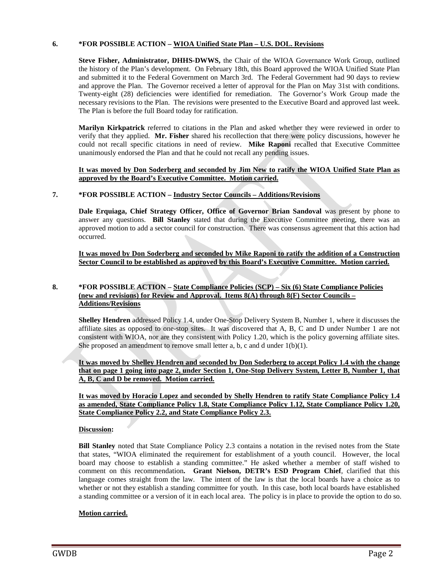### **6. \*FOR POSSIBLE ACTION – WIOA Unified State Plan – U.S. DOL. Revisions**

**Steve Fisher, Administrator, DHHS-DWWS,** the Chair of the WIOA Governance Work Group, outlined the history of the Plan's development. On February 18th, this Board approved the WIOA Unified State Plan and submitted it to the Federal Government on March 3rd. The Federal Government had 90 days to review and approve the Plan. The Governor received a letter of approval for the Plan on May 31st with conditions. Twenty-eight (28) deficiencies were identified for remediation. The Governor's Work Group made the necessary revisions to the Plan. The revisions were presented to the Executive Board and approved last week. The Plan is before the full Board today for ratification.

**Marilyn Kirkpatrick** referred to citations in the Plan and asked whether they were reviewed in order to verify that they applied. **Mr. Fisher** shared his recollection that there were policy discussions, however he could not recall specific citations in need of review. **Mike Raponi** recalled that Executive Committee unanimously endorsed the Plan and that he could not recall any pending issues.

#### **It was moved by Don Soderberg and seconded by Jim New to ratify the WIOA Unified State Plan as approved by the Board's Executive Committee. Motion carried.**

### **7. \*FOR POSSIBLE ACTION – Industry Sector Councils – Additions/Revisions**

**Dale Erquiaga, Chief Strategy Officer, Office of Governor Brian Sandoval** was present by phone to answer any questions. **Bill Stanley** stated that during the Executive Committee meeting, there was an approved motion to add a sector council for construction. There was consensus agreement that this action had occurred.

**It was moved by Don Soderberg and seconded by Mike Raponi to ratify the addition of a Construction Sector Council to be established as approved by this Board's Executive Committee. Motion carried.** 

#### **8. \*FOR POSSIBLE ACTION – State Compliance Policies (SCP) – Six (6) State Compliance Policies (new and revisions) for Review and Approval. Items 8(A) through 8(F) Sector Councils – Additions/Revisions**

**Shelley Hendren** addressed Policy 1.4, under One-Stop Delivery System B, Number 1, where it discusses the affiliate sites as opposed to one-stop sites. It was discovered that A, B, C and D under Number 1 are not consistent with WIOA, nor are they consistent with Policy 1.20, which is the policy governing affiliate sites. She proposed an amendment to remove small letter a, b, c and d under  $1(b)(1)$ .

**It was moved by Shelley Hendren and seconded by Don Soderberg to accept Policy 1.4 with the change that on page 1 going into page 2, under Section 1, One-Stop Delivery System, Letter B, Number 1, that A, B, C and D be removed. Motion carried.** 

**It was moved by Horacio Lopez and seconded by Shelly Hendren to ratify State Compliance Policy 1.4 as amended, State Compliance Policy 1.8, State Compliance Policy 1.12, State Compliance Policy 1.20, State Compliance Policy 2.2, and State Compliance Policy 2.3.** 

## **Discussion:**

**Bill Stanley** noted that State Compliance Policy 2.3 contains a notation in the revised notes from the State that states, "WIOA eliminated the requirement for establishment of a youth council. However, the local board may choose to establish a standing committee." He asked whether a member of staff wished to comment on this recommendation**. Grant Nielson, DETR's ESD Program Chief**, clarified that this language comes straight from the law. The intent of the law is that the local boards have a choice as to whether or not they establish a standing committee for youth. In this case, both local boards have established a standing committee or a version of it in each local area. The policy is in place to provide the option to do so.

## **Motion carried.**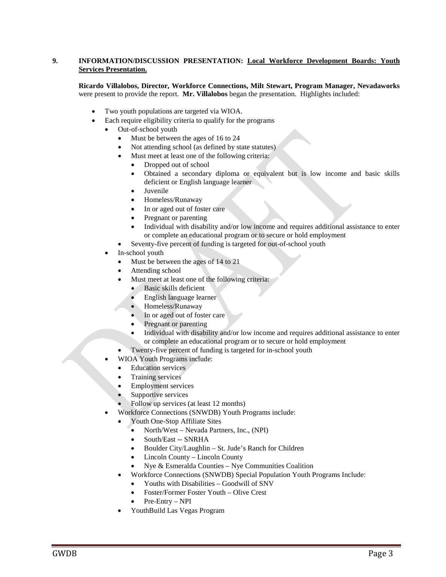### **9. INFORMATION/DISCUSSION PRESENTATION: Local Workforce Development Boards: Youth Services Presentation.**

**Ricardo Villalobos, Director, Workforce Connections, Milt Stewart, Program Manager, Nevadaworks** were present to provide the report. **Mr. Villalobos** began the presentation. Highlights included:

- Two youth populations are targeted via WIOA.
- Each require eligibility criteria to qualify for the programs
	- Out-of-school youth
		- Must be between the ages of 16 to 24
		- Not attending school (as defined by state statutes)
		- Must meet at least one of the following criteria:
			- Dropped out of school
			- Obtained a secondary diploma or equivalent but is low income and basic skills deficient or English language learner
			- **Juvenile**
			- Homeless/Runaway
			- In or aged out of foster care
			- Pregnant or parenting
			- Individual with disability and/or low income and requires additional assistance to enter or complete an educational program or to secure or hold employment
		- Seventy-five percent of funding is targeted for out-of-school youth
	- In-school youth
		- Must be between the ages of 14 to 21
		- Attending school
		- Must meet at least one of the following criteria:
			- Basic skills deficient
			- English language learner
			- Homeless/Runaway
			- In or aged out of foster care
			- Pregnant or parenting
			- Individual with disability and/or low income and requires additional assistance to enter or complete an educational program or to secure or hold employment
		- Twenty-five percent of funding is targeted for in-school youth
		- WIOA Youth Programs include:
		- **Education services**
		- Training services
		- Employment services
		- Supportive services
		- Follow up services (at least 12 months)
	- Workforce Connections (SNWDB) Youth Programs include:
		- Youth One-Stop Affiliate Sites
			- North/West Nevada Partners, Inc., (NPI)
			- South/East -- SNRHA
			- Boulder City/Laughlin St. Jude's Ranch for Children
			- Lincoln County Lincoln County
			- Nye & Esmeralda Counties Nye Communities Coalition
		- Workforce Connections (SNWDB) Special Population Youth Programs Include:
			- Youths with Disabilities Goodwill of SNV
			- Foster/Former Foster Youth Olive Crest
			- Pre-Entry NPI
		- YouthBuild Las Vegas Program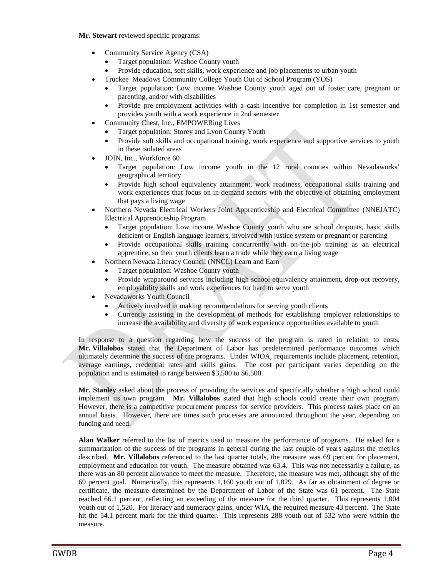**Mr. Stewart** reviewed specific programs:

- Community Service Agency (CSA)
	- Target population: Washoe County youth
	- Provide education, soft skills, work experience and job placements to urban youth
	- Truckee Meadows Community College Youth Out of School Program (YOS)
	- Target population: Low income Washoe County youth aged out of foster care, pregnant or parenting, and/or with disabilities
	- Provide pre-employment activities with a cash incentive for completion in 1st semester and provides youth with a work experience in 2nd semester
- Community Chest, Inc., EMPOWERing Lives
	- Target population: Storey and Lyon County Youth
	- Provide soft skills and occupational training, work experience and supportive services to youth in these isolated areas
- JOIN, Inc., Workforce 60
	- Target population: Low income youth in the 12 rural counties within Nevadaworks' geographical territory
	- Provide high school equivalency attainment, work readiness, occupational skills training and work experiences that focus on in-demand sectors with the objective of obtaining employment that pays a living wage
- Northern Nevada Electrical Workers Joint Apprenticeship and Electrical Committee (NNEJATC) Electrical Apprenticeship Program
	- Target population: Low income Washoe County youth who are school dropouts, basic skills deficient or English language learners, involved with justice system or pregnant or parenting
	- Provide occupational skills training concurrently with on-the-job training as an electrical apprentice, so their youth clients learn a trade while they earn a living wage
- Northern Nevada Literacy Council (NNCL) Learn and Earn
	- Target population: Washoe County youth
	- Provide wraparound services including high school equivalency attainment, drop-out recovery, employability skills and work experiences for hard to serve youth
- Nevadaworks Youth Council
	- Actively involved in making recommendations for serving youth clients
	- Currently assisting in the development of methods for establishing employer relationships to increase the availability and diversity of work experience opportunities available to youth

In response to a question regarding how the success of the program is rated in relation to costs, **Mr. Villalobos** stated that the Department of Labor has predetermined performance outcomes which ultimately determine the success of the programs. Under WIOA, requirements include placement, retention, average earnings, credential rates and skills gains. The cost per participant varies depending on the population and is estimated to range between \$3,500 to \$6,500.

**Mr. Stanley** asked about the process of providing the services and specifically whether a high school could implement its own program. **Mr. Villalobos** stated that high schools could create their own program. However, there is a competitive procurement process for service providers. This process takes place on an annual basis. However, there are times such processes are announced throughout the year, depending on funding and need.

**Alan Walker** referred to the list of metrics used to measure the performance of programs. He asked for a summarization of the success of the programs in general during the last couple of years against the metrics described. **Mr. Villalobos** referenced to the last quarter totals, the measure was 69 percent for placement, employment and education for youth. The measure obtained was 63.4. This was not necessarily a failure, as there was an 80 percent allowance to meet the measure. Therefore, the measure was met, although shy of the 69 percent goal. Numerically, this represents 1,160 youth out of 1,829. As far as obtainment of degree or certificate, the measure determined by the Department of Labor of the State was 61 percent. The State reached 66.1 percent, reflecting an exceeding of the measure for the third quarter. This represents 1,004 youth out of 1,520. For literacy and numeracy gains, under WIA, the required measure 43 percent. The State hit the 54.1 percent mark for the third quarter. This represents 288 youth out of 532 who were within the measure.